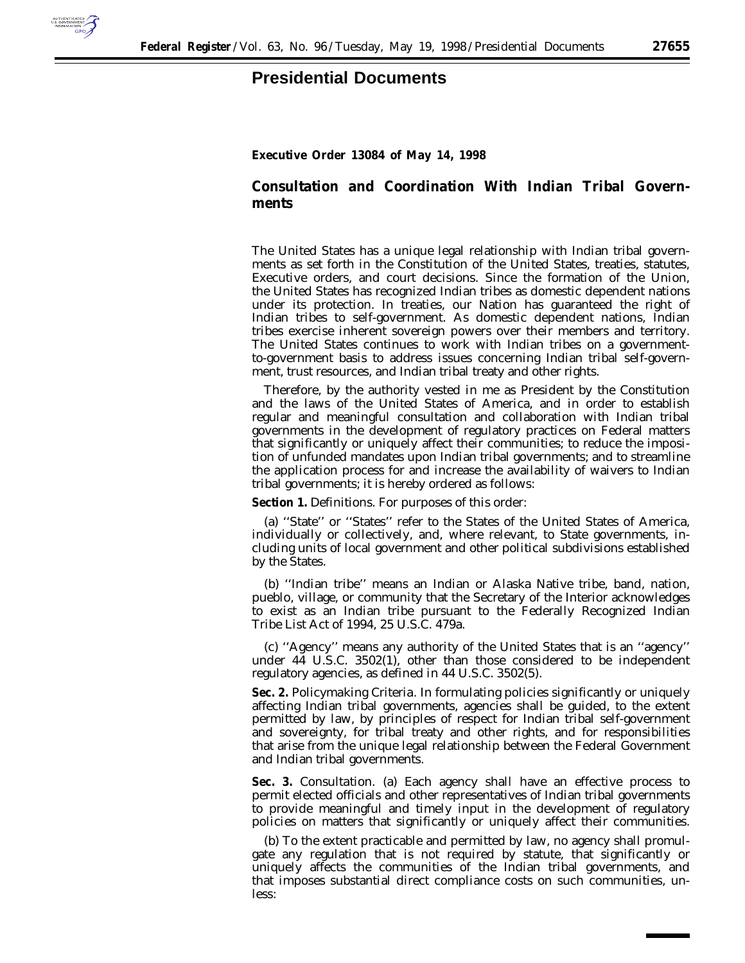

## **Presidential Documents**

## **Executive Order 13084 of May 14, 1998**

## **Consultation and Coordination With Indian Tribal Governments**

The United States has a unique legal relationship with Indian tribal governments as set forth in the Constitution of the United States, treaties, statutes, Executive orders, and court decisions. Since the formation of the Union, the United States has recognized Indian tribes as domestic dependent nations under its protection. In treaties, our Nation has guaranteed the right of Indian tribes to self-government. As domestic dependent nations, Indian tribes exercise inherent sovereign powers over their members and territory. The United States continues to work with Indian tribes on a governmentto-government basis to address issues concerning Indian tribal self-government, trust resources, and Indian tribal treaty and other rights.

Therefore, by the authority vested in me as President by the Constitution and the laws of the United States of America, and in order to establish regular and meaningful consultation and collaboration with Indian tribal governments in the development of regulatory practices on Federal matters that significantly or uniquely affect their communities; to reduce the imposition of unfunded mandates upon Indian tribal governments; and to streamline the application process for and increase the availability of waivers to Indian tribal governments; it is hereby ordered as follows:

**Section 1.** *Definitions.* For purposes of this order:

(a) ''State'' or ''States'' refer to the States of the United States of America, individually or collectively, and, where relevant, to State governments, including units of local government and other political subdivisions established by the States.

(b) ''Indian tribe'' means an Indian or Alaska Native tribe, band, nation, pueblo, village, or community that the Secretary of the Interior acknowledges to exist as an Indian tribe pursuant to the Federally Recognized Indian Tribe List Act of 1994, 25 U.S.C. 479a.

(c) ''Agency'' means any authority of the United States that is an ''agency'' under 44 U.S.C. 3502(1), other than those considered to be independent regulatory agencies, as defined in 44 U.S.C. 3502(5).

**Sec. 2.** *Policymaking Criteria.* In formulating policies significantly or uniquely affecting Indian tribal governments, agencies shall be guided, to the extent permitted by law, by principles of respect for Indian tribal self-government and sovereignty, for tribal treaty and other rights, and for responsibilities that arise from the unique legal relationship between the Federal Government and Indian tribal governments.

**Sec. 3.** *Consultation.* (a) Each agency shall have an effective process to permit elected officials and other representatives of Indian tribal governments to provide meaningful and timely input in the development of regulatory policies on matters that significantly or uniquely affect their communities.

(b) To the extent practicable and permitted by law, no agency shall promulgate any regulation that is not required by statute, that significantly or uniquely affects the communities of the Indian tribal governments, and that imposes substantial direct compliance costs on such communities, unless: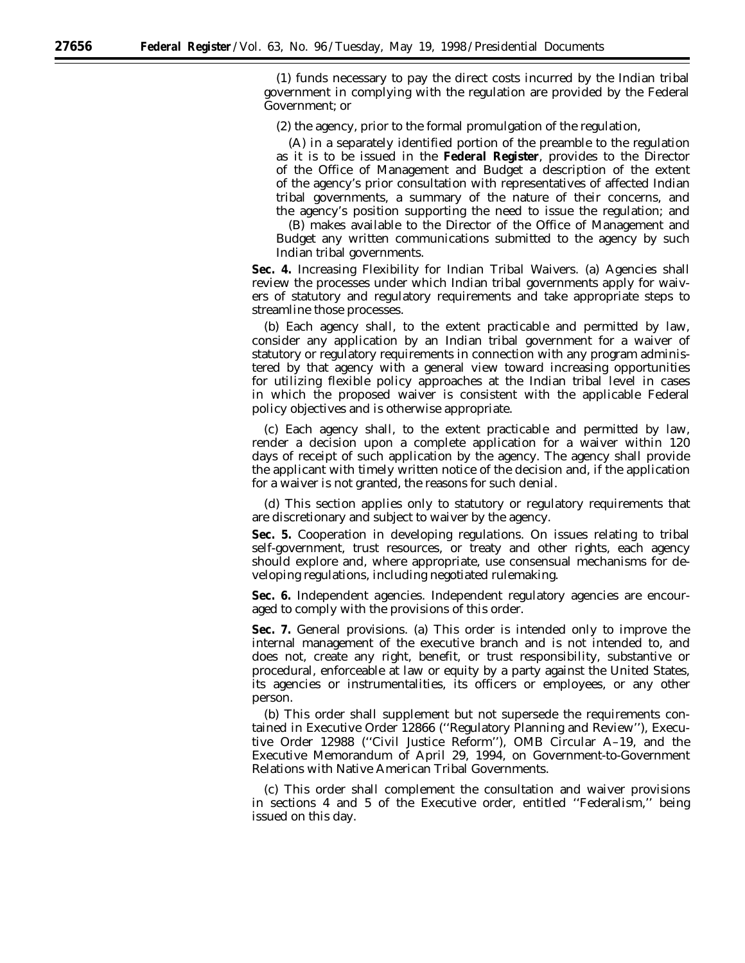(1) funds necessary to pay the direct costs incurred by the Indian tribal government in complying with the regulation are provided by the Federal Government; or

(2) the agency, prior to the formal promulgation of the regulation,

(A) in a separately identified portion of the preamble to the regulation as it is to be issued in the **Federal Register**, provides to the Director of the Office of Management and Budget a description of the extent of the agency's prior consultation with representatives of affected Indian tribal governments, a summary of the nature of their concerns, and the agency's position supporting the need to issue the regulation; and

(B) makes available to the Director of the Office of Management and Budget any written communications submitted to the agency by such Indian tribal governments.

**Sec. 4.** *Increasing Flexibility for Indian Tribal Waivers.* (a) Agencies shall review the processes under which Indian tribal governments apply for waivers of statutory and regulatory requirements and take appropriate steps to streamline those processes.

(b) Each agency shall, to the extent practicable and permitted by law, consider any application by an Indian tribal government for a waiver of statutory or regulatory requirements in connection with any program administered by that agency with a general view toward increasing opportunities for utilizing flexible policy approaches at the Indian tribal level in cases in which the proposed waiver is consistent with the applicable Federal policy objectives and is otherwise appropriate.

(c) Each agency shall, to the extent practicable and permitted by law, render a decision upon a complete application for a waiver within 120 days of receipt of such application by the agency. The agency shall provide the applicant with timely written notice of the decision and, if the application for a waiver is not granted, the reasons for such denial.

(d) This section applies only to statutory or regulatory requirements that are discretionary and subject to waiver by the agency.

**Sec. 5.** *Cooperation in developing regulations.* On issues relating to tribal self-government, trust resources, or treaty and other rights, each agency should explore and, where appropriate, use consensual mechanisms for developing regulations, including negotiated rulemaking.

**Sec. 6.** *Independent agencies.* Independent regulatory agencies are encouraged to comply with the provisions of this order.

**Sec. 7.** *General provisions.* (a) This order is intended only to improve the internal management of the executive branch and is not intended to, and does not, create any right, benefit, or trust responsibility, substantive or procedural, enforceable at law or equity by a party against the United States, its agencies or instrumentalities, its officers or employees, or any other person.

(b) This order shall supplement but not supersede the requirements contained in Executive Order 12866 (''Regulatory Planning and Review''), Executive Order 12988 (''Civil Justice Reform''), OMB Circular A–19, and the Executive Memorandum of April 29, 1994, on Government-to-Government Relations with Native American Tribal Governments.

(c) This order shall complement the consultation and waiver provisions in sections 4 and 5 of the Executive order, entitled ''Federalism,'' being issued on this day.